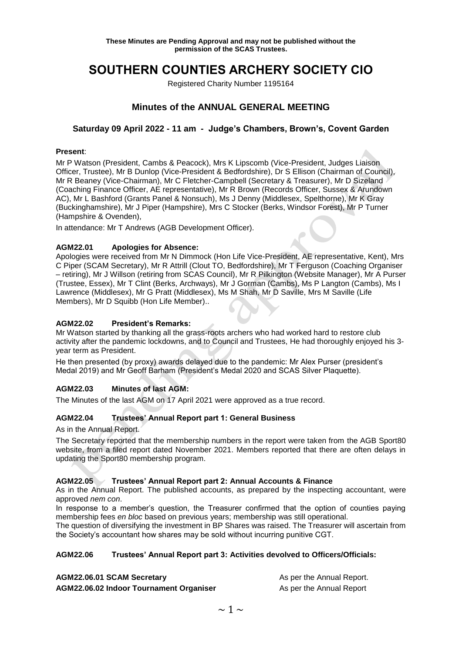# **SOUTHERN COUNTIES ARCHERY SOCIETY CIO**

Registered Charity Number 1195164

# **Minutes of the ANNUAL GENERAL MEETING**

### **Saturday 09 April 2022 - 11 am - Judge's Chambers, Brown's, Covent Garden**

#### **Present**:

Mr P Watson (President, Cambs & Peacock), Mrs K Lipscomb (Vice-President, Judges Liaison Officer, Trustee), Mr B Dunlop (Vice-President & Bedfordshire), Dr S Ellison (Chairman of Council), Mr R Beaney (Vice-Chairman), Mr C Fletcher-Campbell (Secretary & Treasurer), Mr D Sizeland (Coaching Finance Officer, AE representative), Mr R Brown (Records Officer, Sussex & Arundown AC), Mr L Bashford (Grants Panel & Nonsuch), Ms J Denny (Middlesex, Spelthorne), Mr K Gray (Buckinghamshire), Mr J Piper (Hampshire), Mrs C Stocker (Berks, Windsor Forest), Mr P Turner (Hampshire & Ovenden),

In attendance: Mr T Andrews (AGB Development Officer).

#### **AGM22.01 Apologies for Absence:**

Apologies were received from Mr N Dimmock (Hon Life Vice-President, AE representative, Kent), Mrs C Piper (SCAM Secretary), Mr R Attrill (Clout TO, Bedfordshire), Mr T Ferguson (Coaching Organiser – retiring), Mr J Willson (retiring from SCAS Council), Mr R Pilkington (Website Manager), Mr A Purser (Trustee, Essex), Mr T Clint (Berks, Archways), Mr J Gorman (Cambs), Ms P Langton (Cambs), Ms I Lawrence (Middlesex), Mr G Pratt (Middlesex), Ms M Shah, Mr D Saville, Mrs M Saville (Life Members), Mr D Squibb (Hon Life Member)..

#### **AGM22.02 President's Remarks:**

Mr Watson started by thanking all the grass-roots archers who had worked hard to restore club activity after the pandemic lockdowns, and to Council and Trustees, He had thoroughly enjoyed his 3 year term as President.

He then presented (by proxy) awards delayed due to the pandemic: Mr Alex Purser (president's Medal 2019) and Mr Geoff Barham (President's Medal 2020 and SCAS Silver Plaquette).

#### **AGM22.03 Minutes of last AGM:**

The Minutes of the last AGM on 17 April 2021 were approved as a true record.

#### **AGM22.04 Trustees' Annual Report part 1: General Business**

As in the Annual Report.

The Secretary reported that the membership numbers in the report were taken from the AGB Sport80 website, from a filed report dated November 2021. Members reported that there are often delays in updating the Sport80 membership program.

#### **AGM22.05 Trustees' Annual Report part 2: Annual Accounts & Finance**

As in the Annual Report. The published accounts, as prepared by the inspecting accountant, were approved *nem con*.

In response to a member's question, the Treasurer confirmed that the option of counties paying membership fees *en bloc* based on previous years; membership was still operational.

The question of diversifying the investment in BP Shares was raised. The Treasurer will ascertain from the Society's accountant how shares may be sold without incurring punitive CGT.

#### **AGM22.06 Trustees' Annual Report part 3: Activities devolved to Officers/Officials:**

**AGM22.06.01 SCAM Secretary Assume As per the Annual Report. AGM22.06.02 Indoor Tournament Organiser All School As per the Annual Report**